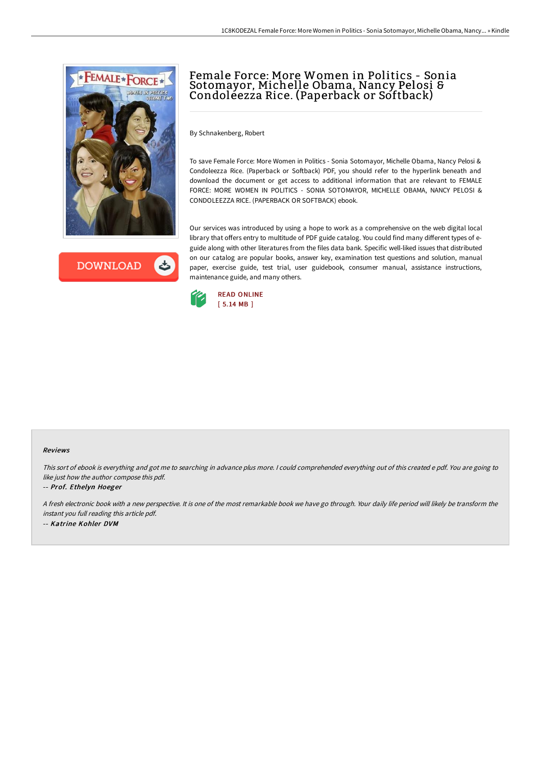

**DOWNLOAD** ٹ

# Female Force: More Women in Politics - Sonia Sotomayor, Michelle Obama, Nancy Pelosi & Condoleezza Rice. (Paperback or Softback)

By Schnakenberg, Robert

To save Female Force: More Women in Politics - Sonia Sotomayor, Michelle Obama, Nancy Pelosi & Condoleezza Rice. (Paperback or Softback) PDF, you should refer to the hyperlink beneath and download the document or get access to additional information that are relevant to FEMALE FORCE: MORE WOMEN IN POLITICS - SONIA SOTOMAYOR, MICHELLE OBAMA, NANCY PELOSI & CONDOLEEZZA RICE. (PAPERBACK OR SOFTBACK) ebook.

Our services was introduced by using a hope to work as a comprehensive on the web digital local library that offers entry to multitude of PDF guide catalog. You could find many different types of eguide along with other literatures from the files data bank. Specific well-liked issues that distributed on our catalog are popular books, answer key, examination test questions and solution, manual paper, exercise guide, test trial, user guidebook, consumer manual, assistance instructions, maintenance guide, and many others.



#### Reviews

This sort of ebook is everything and got me to searching in advance plus more. <sup>I</sup> could comprehended everything out of this created <sup>e</sup> pdf. You are going to like just how the author compose this pdf.

#### -- Prof. Ethelyn Hoeger

<sup>A</sup> fresh electronic book with <sup>a</sup> new perspective. It is one of the most remarkable book we have go through. Your daily life period will likely be transform the instant you full reading this article pdf. -- Katrine Kohler DVM